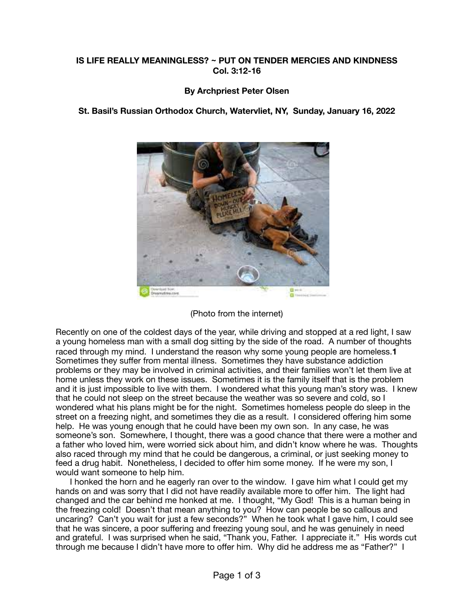## **IS LIFE REALLY MEANINGLESS? ~ PUT ON TENDER MERCIES AND KINDNESS Col. 3:12-16**

## **By Archpriest Peter Olsen**



**St. Basil's Russian Orthodox Church, Watervliet, NY, Sunday, January 16, 2022** 

(Photo from the internet)

Recently on one of the coldest days of the year, while driving and stopped at a red light, I saw a young homeless man with a small dog sitting by the side of the road. A number of thoughts raced through my mind. I understand the reason why some young people are homeless.**1** Sometimes they suffer from mental illness. Sometimes they have substance addiction problems or they may be involved in criminal activities, and their families won't let them live at home unless they work on these issues. Sometimes it is the family itself that is the problem and it is just impossible to live with them. I wondered what this young man's story was. I knew that he could not sleep on the street because the weather was so severe and cold, so I wondered what his plans might be for the night. Sometimes homeless people do sleep in the street on a freezing night, and sometimes they die as a result. I considered offering him some help. He was young enough that he could have been my own son. In any case, he was someone's son. Somewhere, I thought, there was a good chance that there were a mother and a father who loved him, were worried sick about him, and didn't know where he was. Thoughts also raced through my mind that he could be dangerous, a criminal, or just seeking money to feed a drug habit. Nonetheless, I decided to offer him some money. If he were my son, I would want someone to help him.

 I honked the horn and he eagerly ran over to the window. I gave him what I could get my hands on and was sorry that I did not have readily available more to offer him. The light had changed and the car behind me honked at me. I thought, "My God! This is a human being in the freezing cold! Doesn't that mean anything to you? How can people be so callous and uncaring? Can't you wait for just a few seconds?" When he took what I gave him, I could see that he was sincere, a poor suffering and freezing young soul, and he was genuinely in need and grateful. I was surprised when he said, "Thank you, Father. I appreciate it." His words cut through me because I didn't have more to offer him. Why did he address me as "Father?" I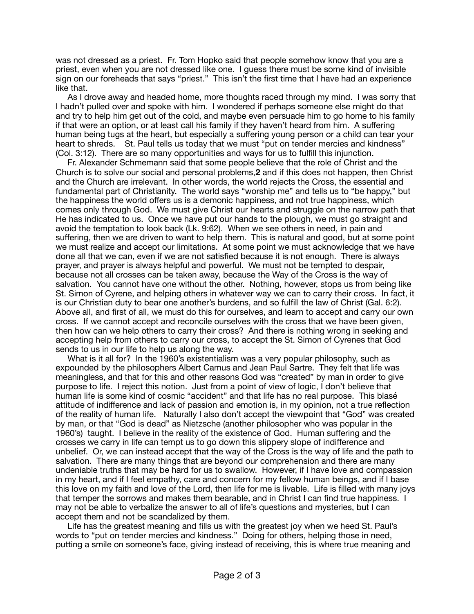was not dressed as a priest. Fr. Tom Hopko said that people somehow know that you are a priest, even when you are not dressed like one. I guess there must be some kind of invisible sign on our foreheads that says "priest." This isn't the first time that I have had an experience like that.

 As I drove away and headed home, more thoughts raced through my mind. I was sorry that I hadn't pulled over and spoke with him. I wondered if perhaps someone else might do that and try to help him get out of the cold, and maybe even persuade him to go home to his family if that were an option, or at least call his family if they haven't heard from him. A suffering human being tugs at the heart, but especially a suffering young person or a child can tear your heart to shreds. St. Paul tells us today that we must "put on tender mercies and kindness" (Col. 3:12). There are so many opportunities and ways for us to fulfill this injunction.

 Fr. Alexander Schmemann said that some people believe that the role of Christ and the Church is to solve our social and personal problems,**2** and if this does not happen, then Christ and the Church are irrelevant. In other words, the world rejects the Cross, the essential and fundamental part of Christianity. The world says "worship me" and tells us to "be happy," but the happiness the world offers us is a demonic happiness, and not true happiness, which comes only through God. We must give Christ our hearts and struggle on the narrow path that He has indicated to us. Once we have put our hands to the plough, we must go straight and avoid the temptation to look back (Lk. 9:62). When we see others in need, in pain and suffering, then we are driven to want to help them. This is natural and good, but at some point we must realize and accept our limitations. At some point we must acknowledge that we have done all that we can, even if we are not satisfied because it is not enough. There is always prayer, and prayer is always helpful and powerful. We must not be tempted to despair, because not all crosses can be taken away, because the Way of the Cross is the way of salvation. You cannot have one without the other. Nothing, however, stops us from being like St. Simon of Cyrene, and helping others in whatever way we can to carry their cross. In fact, it is our Christian duty to bear one another's burdens, and so fulfill the law of Christ (Gal. 6:2). Above all, and first of all, we must do this for ourselves, and learn to accept and carry our own cross. If we cannot accept and reconcile ourselves with the cross that we have been given, then how can we help others to carry their cross? And there is nothing wrong in seeking and accepting help from others to carry our cross, to accept the St. Simon of Cyrenes that God sends to us in our life to help us along the way.

 What is it all for? In the 1960's existentialism was a very popular philosophy, such as expounded by the philosophers Albert Camus and Jean Paul Sartre. They felt that life was meaningless, and that for this and other reasons God was "created" by man in order to give purpose to life. I reject this notion. Just from a point of view of logic, I don't believe that human life is some kind of cosmic "accident" and that life has no real purpose. This blasé attitude of indifference and lack of passion and emotion is, in my opinion, not a true reflection of the reality of human life. Naturally I also don't accept the viewpoint that "God" was created by man, or that "God is dead" as Nietzsche (another philosopher who was popular in the 1960's) taught. I believe in the reality of the existence of God. Human suffering and the crosses we carry in life can tempt us to go down this slippery slope of indifference and unbelief. Or, we can instead accept that the way of the Cross is the way of life and the path to salvation. There are many things that are beyond our comprehension and there are many undeniable truths that may be hard for us to swallow. However, if I have love and compassion in my heart, and if I feel empathy, care and concern for my fellow human beings, and if I base this love on my faith and love of the Lord, then life for me is livable. Life is filled with many joys that temper the sorrows and makes them bearable, and in Christ I can find true happiness. I may not be able to verbalize the answer to all of life's questions and mysteries, but I can accept them and not be scandalized by them.

 Life has the greatest meaning and fills us with the greatest joy when we heed St. Paul's words to "put on tender mercies and kindness." Doing for others, helping those in need, putting a smile on someone's face, giving instead of receiving, this is where true meaning and